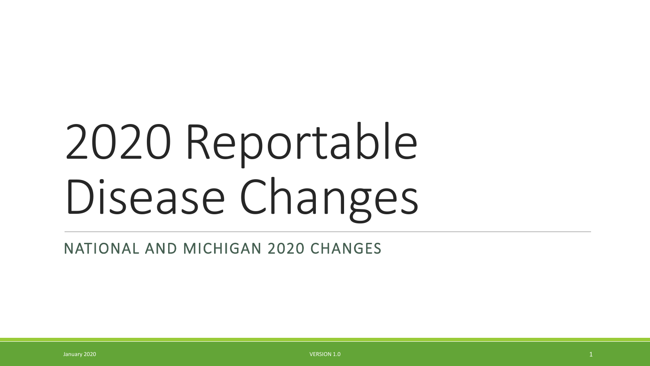# 2020 Reportable Disease Changes

NATIONAL AND MICHIGAN 2020 CHANGES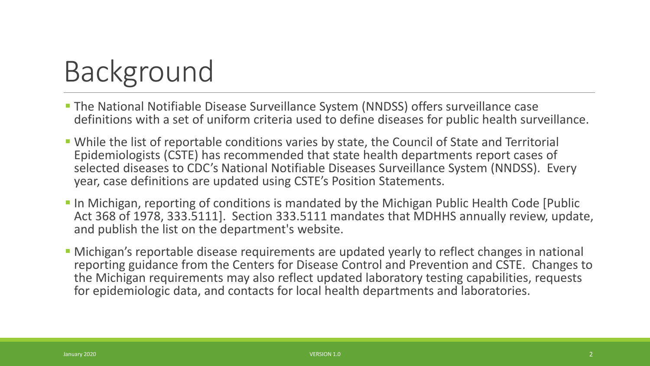# Background

- The National Notifiable Disease Surveillance System (NNDSS) offers surveillance case definitions with a set of uniform criteria used to define diseases for public health surveillance.
- While the list of reportable conditions varies by state, the Council of State and Territorial Epidemiologists (CSTE) has recommended that state health departments report cases of selected diseases to CDC's National Notifiable Diseases Surveillance System (NNDSS). Every year, case definitions are updated using CSTE's Position Statements.
- **In Michigan, reporting of conditions is mandated by the Michigan Public Health Code [Public | 1988**] Act 368 of 1978, 333.5111]. Section 333.5111 mandates that MDHHS annually review, update, and publish the list on the department's website.
- Michigan's reportable disease requirements are updated yearly to reflect changes in national reporting guidance from the Centers for Disease Control and Prevention and CSTE. Changes to the Michigan requirements may also reflect updated laboratory testing capabilities, requests for epidemiologic data, and contacts for local health departments and laboratories.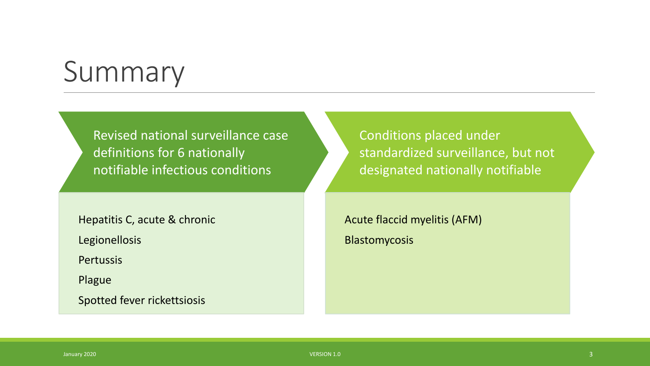# Summary

Revised national surveillance case definitions for 6 nationally notifiable infectious conditions

Hepatitis C, acute & chronic

Legionellosis

**Pertussis** 

Plague

Spotted fever rickettsiosis

Conditions placed under standardized surveillance, but not designated nationally notifiable

Acute flaccid myelitis (AFM) Blastomycosis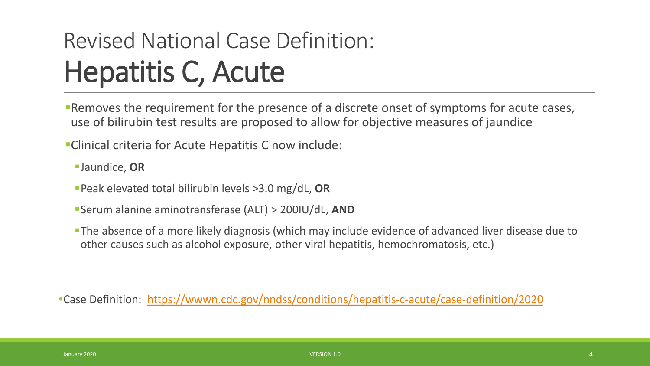# Revised National Case Definition: Hepatitis C, Acute

**Removes the requirement for the presence of a discrete onset of symptoms for acute cases,** use of bilirubin test results are proposed to allow for objective measures of jaundice

Clinical criteria for Acute Hepatitis C now include:

Jaundice, **OR**

- Peak elevated total bilirubin levels >3.0 mg/dL, **OR**
- Serum alanine aminotransferase (ALT) > 200IU/dL, **AND**
- The absence of a more likely diagnosis (which may include evidence of advanced liver disease due to other causes such as alcohol exposure, other viral hepatitis, hemochromatosis, etc.)

•Case Definition: [https://wwwn.cdc.gov/nndss/conditions/hepatitis-c-acute/case-definition/2020](https://wwwn.cdc.gov/nndss/conditions/hepatitis-c-acute/case-definition/2020/)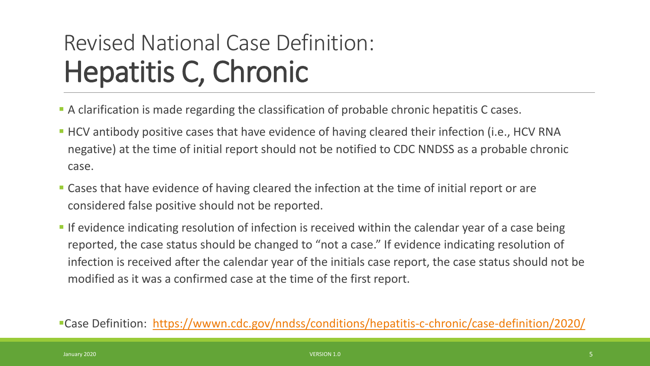### Revised National Case Definition: Hepatitis C, Chronic

- A clarification is made regarding the classification of probable chronic hepatitis C cases.
- **HCV** antibody positive cases that have evidence of having cleared their infection (i.e., HCV RNA negative) at the time of initial report should not be notified to CDC NNDSS as a probable chronic case.
- **Example 2** Cases that have evidence of having cleared the infection at the time of initial report or are considered false positive should not be reported.
- If evidence indicating resolution of infection is received within the calendar year of a case being reported, the case status should be changed to "not a case." If evidence indicating resolution of infection is received after the calendar year of the initials case report, the case status should not be modified as it was a confirmed case at the time of the first report.

Case Definition: <https://wwwn.cdc.gov/nndss/conditions/hepatitis-c-chronic/case-definition/2020/>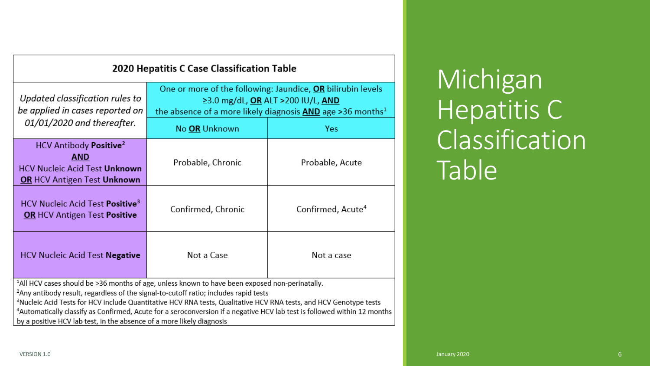| 2020 Hepatitis C Case Classification Table                                                                              |                                                                                                                                                                              |                               |
|-------------------------------------------------------------------------------------------------------------------------|------------------------------------------------------------------------------------------------------------------------------------------------------------------------------|-------------------------------|
| Updated classification rules to<br>be applied in cases reported on<br>01/01/2020 and thereafter.                        | One or more of the following: Jaundice, OR bilirubin levels<br>≥3.0 mg/dL, OR ALT >200 IU/L, AND<br>the absence of a more likely diagnosis $AND$ age >36 months <sup>1</sup> |                               |
|                                                                                                                         | No OR Unknown                                                                                                                                                                | <b>Yes</b>                    |
| HCV Antibody Positive <sup>2</sup><br>AND<br><b>HCV Nucleic Acid Test Unknown</b><br><b>OR HCV Antigen Test Unknown</b> | Probable, Chronic                                                                                                                                                            | Probable, Acute               |
| <b>HCV Nucleic Acid Test Positive<sup>3</sup></b><br><b>OR</b> HCV Antigen Test <b>Positive</b>                         | Confirmed, Chronic                                                                                                                                                           | Confirmed, Acute <sup>4</sup> |
| <b>HCV Nucleic Acid Test Negative</b>                                                                                   | Not a Case                                                                                                                                                                   | Not a case                    |

<sup>1</sup>All HCV cases should be >36 months of age, unless known to have been exposed non-perinatally.

<sup>2</sup>Any antibody result, regardless of the signal-to-cutoff ratio; includes rapid tests

<sup>3</sup>Nucleic Acid Tests for HCV include Quantitative HCV RNA tests, Qualitative HCV RNA tests, and HCV Genotype tests <sup>4</sup>Automatically classify as Confirmed, Acute for a seroconversion if a negative HCV lab test is followed within 12 months by a positive HCV lab test, in the absence of a more likely diagnosis

Michigan Hepatitis C **Classification** Table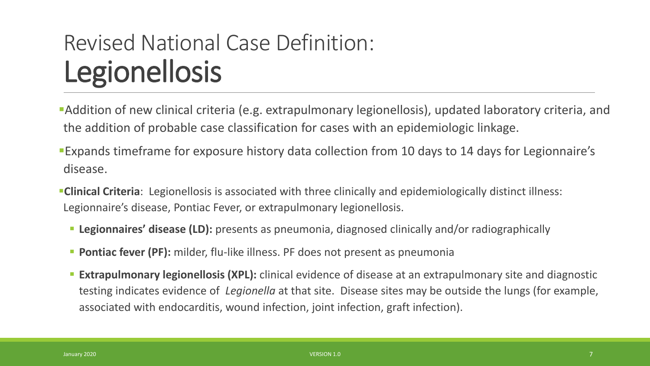- Addition of new clinical criteria (e.g. extrapulmonary legionellosis), updated laboratory criteria, and the addition of probable case classification for cases with an epidemiologic linkage.
- Expands timeframe for exposure history data collection from 10 days to 14 days for Legionnaire's disease.
- **Clinical Criteria**: Legionellosis is associated with three clinically and epidemiologically distinct illness: Legionnaire's disease, Pontiac Fever, or extrapulmonary legionellosis.
	- **Legionnaires' disease (LD):** presents as pneumonia, diagnosed clinically and/or radiographically
	- **Pontiac fever (PF):** milder, flu-like illness. PF does not present as pneumonia
	- **Extrapulmonary legionellosis (XPL):** clinical evidence of disease at an extrapulmonary site and diagnostic testing indicates evidence of *Legionella* at that site. Disease sites may be outside the lungs (for example, associated with endocarditis, wound infection, joint infection, graft infection).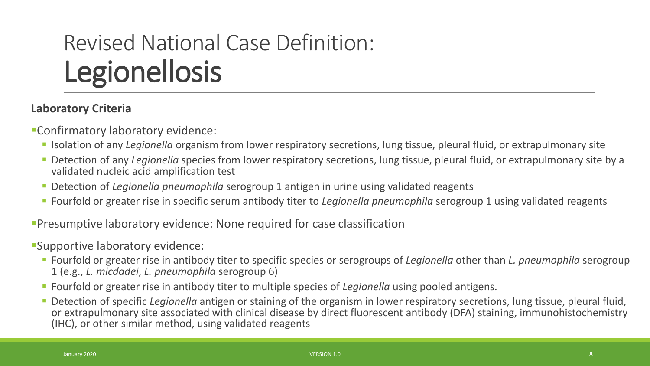#### **Laboratory Criteria**

Confirmatory laboratory evidence:

- Isolation of any *Legionella* organism from lower respiratory secretions, lung tissue, pleural fluid, or extrapulmonary site
- Detection of any *Legionella* species from lower respiratory secretions, lung tissue, pleural fluid, or extrapulmonary site by a validated nucleic acid amplification test
- Detection of *Legionella pneumophila* serogroup 1 antigen in urine using validated reagents
- Fourfold or greater rise in specific serum antibody titer to *Legionella pneumophila* serogroup 1 using validated reagents

Presumptive laboratory evidence: None required for case classification

Supportive laboratory evidence:

- Fourfold or greater rise in antibody titer to specific species or serogroups of *Legionella* other than *L. pneumophila* serogroup 1 (e.g., *L. micdadei*, *L. pneumophila* serogroup 6)
- Fourfold or greater rise in antibody titer to multiple species of *Legionella* using pooled antigens.
- Detection of specific *Legionella* antigen or staining of the organism in lower respiratory secretions, lung tissue, pleural fluid, or extrapulmonary site associated with clinical disease by direct fluorescent antibody (DFA) staining, immunohistochemistry (IHC), or other similar method, using validated reagents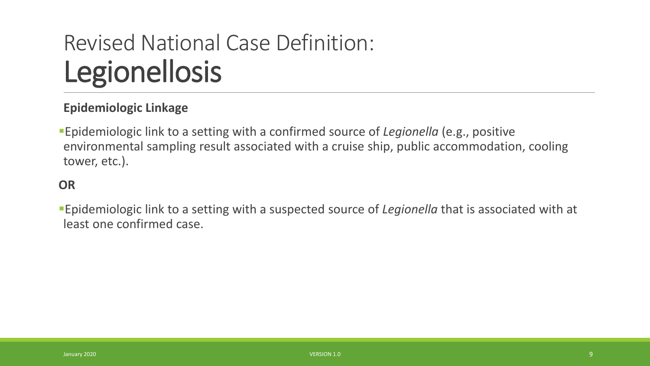#### **Epidemiologic Linkage**

Epidemiologic link to a setting with a confirmed source of *Legionella* (e.g., positive environmental sampling result associated with a cruise ship, public accommodation, cooling tower, etc.).

#### **OR**

Epidemiologic link to a setting with a suspected source of *Legionella* that is associated with at least one confirmed case.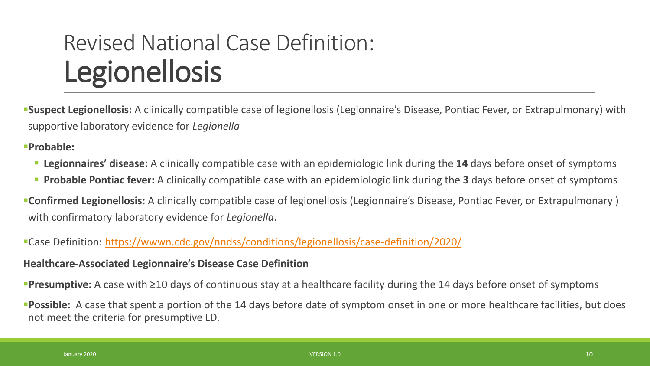**Suspect Legionellosis:** A clinically compatible case of legionellosis (Legionnaire's Disease, Pontiac Fever, or Extrapulmonary) with supportive laboratory evidence for *Legionella*

**Probable:** 

- **Legionnaires' disease:** A clinically compatible case with an epidemiologic link during the **14** days before onset of symptoms
- **Probable Pontiac fever:** A clinically compatible case with an epidemiologic link during the **3** days before onset of symptoms
- **Confirmed Legionellosis:** A clinically compatible case of legionellosis (Legionnaire's Disease, Pontiac Fever, or Extrapulmonary ) with confirmatory laboratory evidence for *Legionella*.
- Case Definition: <https://wwwn.cdc.gov/nndss/conditions/legionellosis/case-definition/2020/>

#### **Healthcare-Associated Legionnaire's Disease Case Definition**

**Presumptive:** A case with ≥10 days of continuous stay at a healthcare facility during the 14 days before onset of symptoms

**Possible:** A case that spent a portion of the 14 days before date of symptom onset in one or more healthcare facilities, but does not meet the criteria for presumptive LD.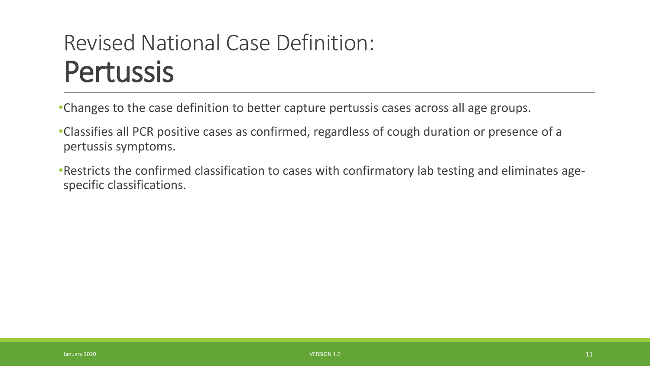### Revised National Case Definition: Pertussis

•Changes to the case definition to better capture pertussis cases across all age groups.

•Classifies all PCR positive cases as confirmed, regardless of cough duration or presence of a pertussis symptoms.

•Restricts the confirmed classification to cases with confirmatory lab testing and eliminates agespecific classifications.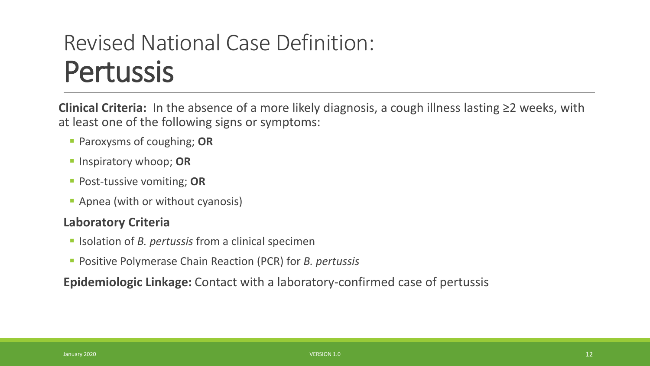### Revised National Case Definition: Pertussis

**Clinical Criteria:** In the absence of a more likely diagnosis, a cough illness lasting ≥2 weeks, with at least one of the following signs or symptoms:

- Paroxysms of coughing; **OR**
- **Inspiratory whoop; OR**
- **Post-tussive vomiting; OR**
- **Apnea (with or without cyanosis)**

#### **Laboratory Criteria**

- **If** Isolation of *B. pertussis* from a clinical specimen
- Positive Polymerase Chain Reaction (PCR) for *B. pertussis*

**Epidemiologic Linkage:** Contact with a laboratory-confirmed case of pertussis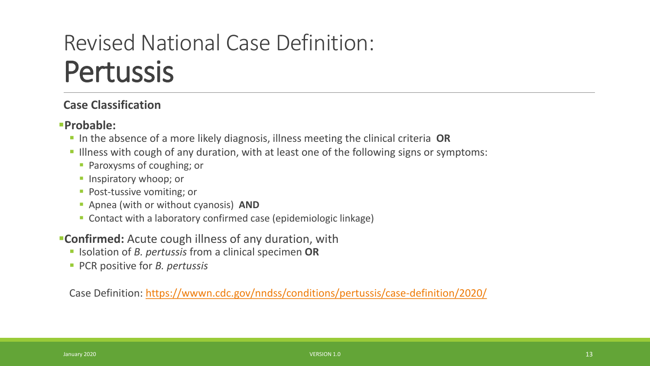### Revised National Case Definition: Pertussis

#### **Case Classification**

#### **Probable:**

- In the absence of a more likely diagnosis, illness meeting the clinical criteria OR
- I llness with cough of any duration, with at least one of the following signs or symptoms:
	- **Paroxysms of coughing; or**
	- **Inspiratory whoop; or**
	- **Post-tussive vomiting; or**
	- Apnea (with or without cyanosis) **AND**
	- Contact with a laboratory confirmed case (epidemiologic linkage)
- **Confirmed:** Acute cough illness of any duration, with
	- Isolation of *B. pertussis* from a clinical specimen **OR**
	- PCR positive for *B. pertussis*

Case Definition: <https://wwwn.cdc.gov/nndss/conditions/pertussis/case-definition/2020/>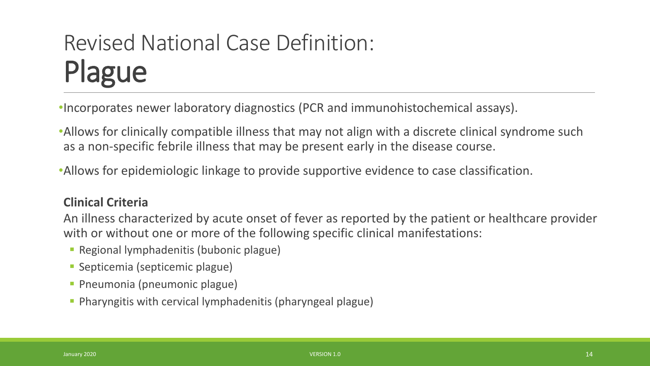•Incorporates newer laboratory diagnostics (PCR and immunohistochemical assays).

•Allows for clinically compatible illness that may not align with a discrete clinical syndrome such as a non-specific febrile illness that may be present early in the disease course.

•Allows for epidemiologic linkage to provide supportive evidence to case classification.

#### **Clinical Criteria**

An illness characterized by acute onset of fever as reported by the patient or healthcare provider with or without one or more of the following specific clinical manifestations:

- Regional lymphadenitis (bubonic plague)
- Septicemia (septicemic plague)
- **Pneumonia (pneumonic plague)**
- Pharyngitis with cervical lymphadenitis (pharyngeal plague)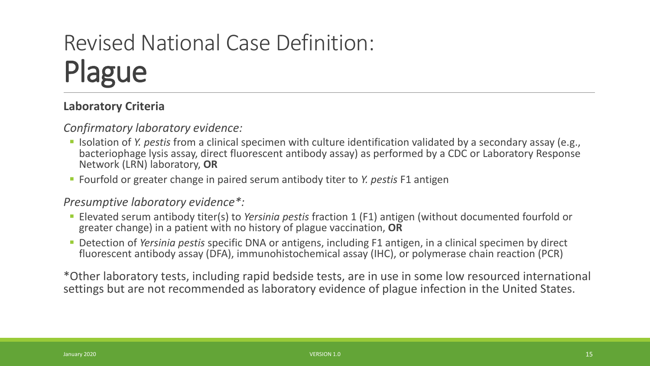#### **Laboratory Criteria**

*Confirmatory laboratory evidence:* 

- Isolation of *Y. pestis* from a clinical specimen with culture identification validated by a secondary assay (e.g., bacteriophage lysis assay, direct fluorescent antibody assay) as performed by a CDC or Laboratory Response Network (LRN) laboratory, **OR**
- Fourfold or greater change in paired serum antibody titer to *Y. pestis* F1 antigen

#### *Presumptive laboratory evidence\*:*

- Elevated serum antibody titer(s) to *Yersinia pestis* fraction 1 (F1) antigen (without documented fourfold or greater change) in a patient with no history of plague vaccination, **OR**
- Detection of *Yersinia pestis* specific DNA or antigens, including F1 antigen, in a clinical specimen by direct fluorescent antibody assay (DFA), immunohistochemical assay (IHC), or polymerase chain reaction (PCR)

\*Other laboratory tests, including rapid bedside tests, are in use in some low resourced international settings but are not recommended as laboratory evidence of plague infection in the United States.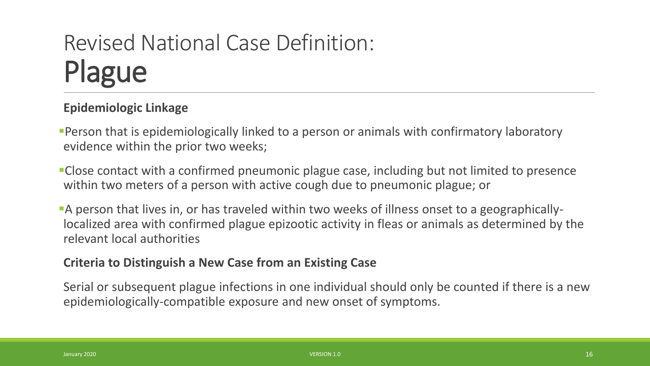#### **Epidemiologic Linkage**

- Person that is epidemiologically linked to a person or animals with confirmatory laboratory evidence within the prior two weeks;
- Close contact with a confirmed pneumonic plague case, including but not limited to presence within two meters of a person with active cough due to pneumonic plague; or
- A person that lives in, or has traveled within two weeks of illness onset to a geographicallylocalized area with confirmed plague epizootic activity in fleas or animals as determined by the relevant local authorities

#### **Criteria to Distinguish a New Case from an Existing Case**

Serial or subsequent plague infections in one individual should only be counted if there is a new epidemiologically-compatible exposure and new onset of symptoms.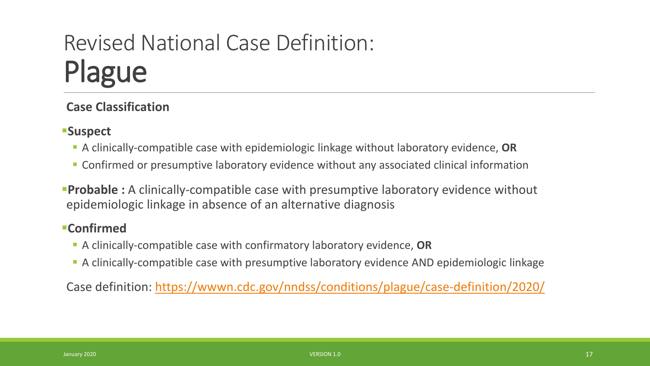#### **Case Classification**

#### **Suspect**

- A clinically-compatible case with epidemiologic linkage without laboratory evidence, **OR**
- Confirmed or presumptive laboratory evidence without any associated clinical information
- **Probable :** A clinically-compatible case with presumptive laboratory evidence without epidemiologic linkage in absence of an alternative diagnosis

#### **Confirmed**

- A clinically-compatible case with confirmatory laboratory evidence, **OR**
- A clinically-compatible case with presumptive laboratory evidence AND epidemiologic linkage

Case definition:<https://wwwn.cdc.gov/nndss/conditions/plague/case-definition/2020/>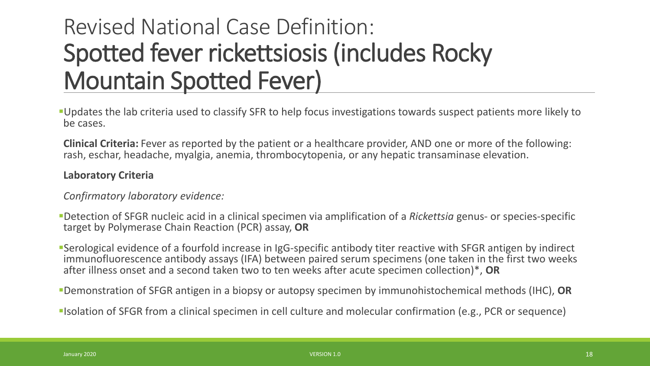### Revised National Case Definition: Spotted fever rickettsiosis (includes Rocky Mountain Spotted Fever)

Updates the lab criteria used to classify SFR to help focus investigations towards suspect patients more likely to be cases.

**Clinical Criteria:** Fever as reported by the patient or a healthcare provider, AND one or more of the following: rash, eschar, headache, myalgia, anemia, thrombocytopenia, or any hepatic transaminase elevation.

#### **Laboratory Criteria**

*Confirmatory laboratory evidence:* 

Detection of SFGR nucleic acid in a clinical specimen via amplification of a *Rickettsia* genus- or species-specific target by Polymerase Chain Reaction (PCR) assay, **OR**

Serological evidence of a fourfold increase in IgG-specific antibody titer reactive with SFGR antigen by indirect immunofluorescence antibody assays (IFA) between paired serum specimens (one taken in the first two weeks after illness onset and a second taken two to ten weeks after acute specimen collection)\*, **OR**

Demonstration of SFGR antigen in a biopsy or autopsy specimen by immunohistochemical methods (IHC), **OR**

Isolation of SFGR from a clinical specimen in cell culture and molecular confirmation (e.g., PCR or sequence)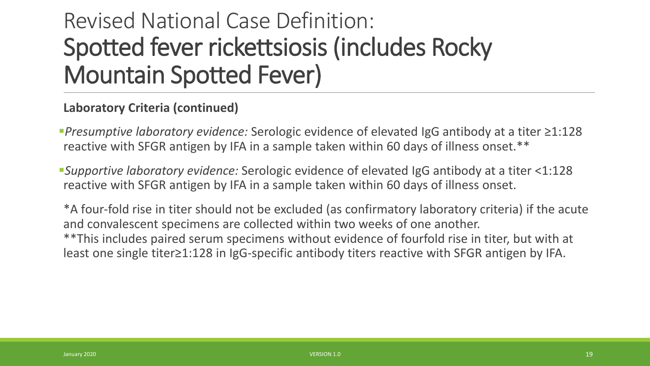### Revised National Case Definition: Spotted fever rickettsiosis (includes Rocky Mountain Spotted Fever)

#### **Laboratory Criteria (continued)**

*Presumptive laboratory evidence:* Serologic evidence of elevated IgG antibody at a titer ≥1:128 reactive with SFGR antigen by IFA in a sample taken within 60 days of illness onset.\*\*

*Supportive laboratory evidence:* Serologic evidence of elevated IgG antibody at a titer <1:128 reactive with SFGR antigen by IFA in a sample taken within 60 days of illness onset.

\*A four-fold rise in titer should not be excluded (as confirmatory laboratory criteria) if the acute and convalescent specimens are collected within two weeks of one another. \*\*This includes paired serum specimens without evidence of fourfold rise in titer, but with at least one single titer≥1:128 in IgG-specific antibody titers reactive with SFGR antigen by IFA.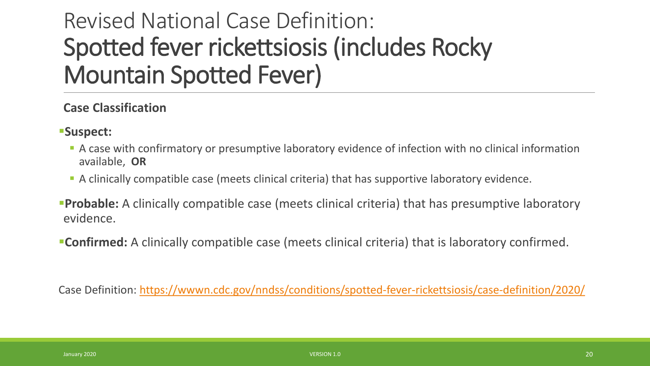### Revised National Case Definition: Spotted fever rickettsiosis (includes Rocky Mountain Spotted Fever)

#### **Case Classification**

- **Suspect:**
	- A case with confirmatory or presumptive laboratory evidence of infection with no clinical information available, **OR**
	- A clinically compatible case (meets clinical criteria) that has supportive laboratory evidence.
- **Probable:** A clinically compatible case (meets clinical criteria) that has presumptive laboratory evidence.
- **Confirmed:** A clinically compatible case (meets clinical criteria) that is laboratory confirmed.

Case Definition: <https://wwwn.cdc.gov/nndss/conditions/spotted-fever-rickettsiosis/case-definition/2020/>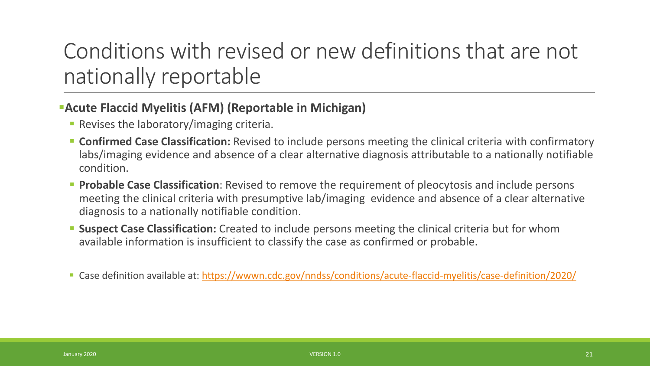### Conditions with revised or new definitions that are not nationally reportable

#### **Acute Flaccid Myelitis (AFM) (Reportable in Michigan)**

- **Revises the laboratory/imaging criteria.**
- **Confirmed Case Classification:** Revised to include persons meeting the clinical criteria with confirmatory labs/imaging evidence and absence of a clear alternative diagnosis attributable to a nationally notifiable condition.
- **Probable Case Classification**: Revised to remove the requirement of pleocytosis and include persons meeting the clinical criteria with presumptive lab/imaging evidence and absence of a clear alternative diagnosis to a nationally notifiable condition.
- **Suspect Case Classification:** Created to include persons meeting the clinical criteria but for whom available information is insufficient to classify the case as confirmed or probable.
- Case definition available at:<https://wwwn.cdc.gov/nndss/conditions/acute-flaccid-myelitis/case-definition/2020/>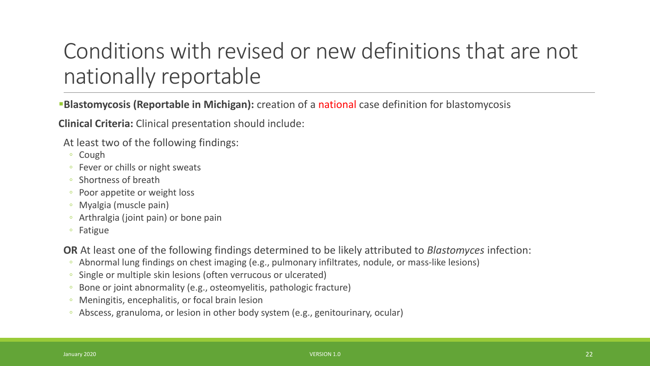### Conditions with revised or new definitions that are not nationally reportable

**Blastomycosis (Reportable in Michigan):** creation of a national case definition for blastomycosis

**Clinical Criteria:** Clinical presentation should include:

At least two of the following findings:

- Cough
- Fever or chills or night sweats
- Shortness of breath
- Poor appetite or weight loss
- Myalgia (muscle pain)
- Arthralgia (joint pain) or bone pain
- Fatigue

**OR** At least one of the following findings determined to be likely attributed to *Blastomyces* infection:

- Abnormal lung findings on chest imaging (e.g., pulmonary infiltrates, nodule, or mass-like lesions)
- Single or multiple skin lesions (often verrucous or ulcerated)
- Bone or joint abnormality (e.g., osteomyelitis, pathologic fracture)
- Meningitis, encephalitis, or focal brain lesion
- Abscess, granuloma, or lesion in other body system (e.g., genitourinary, ocular)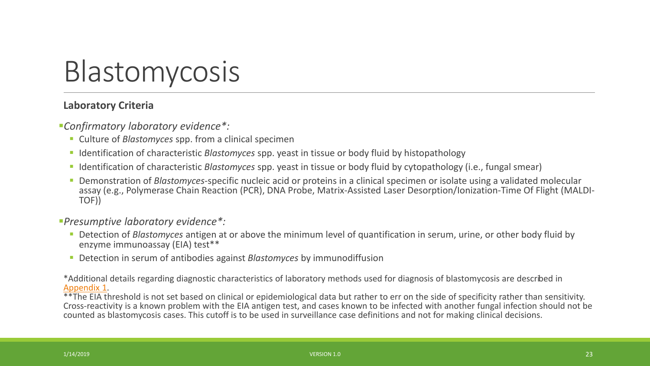

#### **Laboratory Criteria**

*Confirmatory laboratory evidence\*:* 

- Culture of *Blastomyces* spp. from a clinical specimen
- Identification of characteristic *Blastomyces* spp. yeast in tissue or body fluid by histopathology
- Identification of characteristic *Blastomyces* spp. yeast in tissue or body fluid by cytopathology (i.e., fungal smear)
- Demonstration of *Blastomyces*-specific nucleic acid or proteins in a clinical specimen or isolate using a validated molecular assay (e.g., Polymerase Chain Reaction (PCR), DNA Probe, Matrix-Assisted Laser Desorption/Ionization-Time Of Flight (MALDI-<br>TOF))

#### *Presumptive laboratory evidence\*:*

- Detection of *Blastomyces* antigen at or above the minimum level of quantification in serum, urine, or other body fluid by enzyme immunoassay (EIA) test\*\*
- Detection in serum of antibodies against *Blastomyces* by immunodiffusion

\*Additional details regarding diagnostic characteristics of laboratory methods used for diagnosis of blastomycosis are described in

 $*$ The EIA threshold is not set based on clinical or epidemiological data but rather to err on the side of specificity rather than sensitivity. Cross-reactivity is a known problem with the EIA antigen test, and cases known to be infected with another fungal infection should not be counted as blastomycosis cases. This cutoff is to be used in surveillance case definitions and not for making clinical decisions.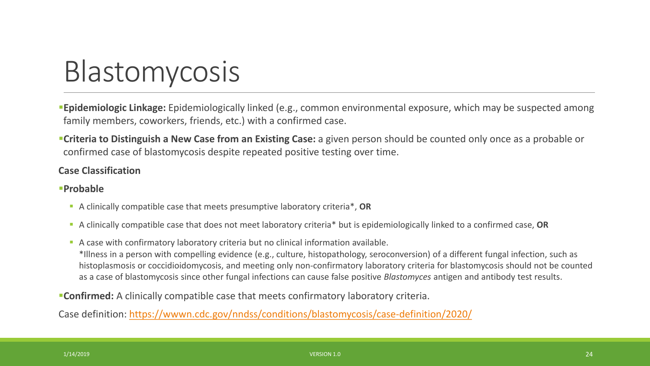

**Epidemiologic Linkage:** Epidemiologically linked (e.g., common environmental exposure, which may be suspected among family members, coworkers, friends, etc.) with a confirmed case.

**Criteria to Distinguish a New Case from an Existing Case:** a given person should be counted only once as a probable or confirmed case of blastomycosis despite repeated positive testing over time.

#### **Case Classification**

#### **Probable**

- A clinically compatible case that meets presumptive laboratory criteria\*, **OR**
- A clinically compatible case that does not meet laboratory criteria\* but is epidemiologically linked to a confirmed case, **OR**
- A case with confirmatory laboratory criteria but no clinical information available. \*Illness in a person with compelling evidence (e.g., culture, histopathology, seroconversion) of a different fungal infection, such as histoplasmosis or coccidioidomycosis, and meeting only non-confirmatory laboratory criteria for blastomycosis should not be counted as a case of blastomycosis since other fungal infections can cause false positive *Blastomyces* antigen and antibody test results.

**Confirmed:** A clinically compatible case that meets confirmatory laboratory criteria.

Case definition: <https://wwwn.cdc.gov/nndss/conditions/blastomycosis/case-definition/2020/>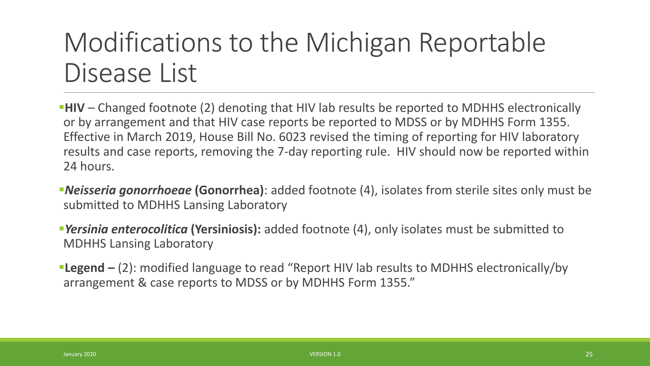## Modifications to the Michigan Reportable Disease List

**HIV** – Changed footnote (2) denoting that HIV lab results be reported to MDHHS electronically or by arrangement and that HIV case reports be reported to MDSS or by MDHHS Form 1355. Effective in March 2019, House Bill No. 6023 revised the timing of reporting for HIV laboratory results and case reports, removing the 7-day reporting rule. HIV should now be reported within 24 hours.

*Neisseria gonorrhoeae* **(Gonorrhea)**: added footnote (4), isolates from sterile sites only must be submitted to MDHHS Lansing Laboratory

*Yersinia enterocolitica* **(Yersiniosis):** added footnote (4), only isolates must be submitted to MDHHS Lansing Laboratory

**Legend –** (2): modified language to read "Report HIV lab results to MDHHS electronically/by arrangement & case reports to MDSS or by MDHHS Form 1355."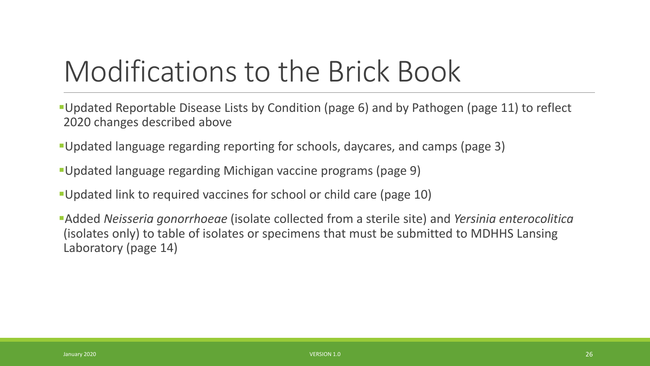# Modifications to the Brick Book

- Updated Reportable Disease Lists by Condition (page 6) and by Pathogen (page 11) to reflect 2020 changes described above
- Updated language regarding reporting for schools, daycares, and camps (page 3)
- Updated language regarding Michigan vaccine programs (page 9)
- Updated link to required vaccines for school or child care (page 10)
- Added *Neisseria gonorrhoeae* (isolate collected from a sterile site) and *Yersinia enterocolitica* (isolates only) to table of isolates or specimens that must be submitted to MDHHS Lansing Laboratory (page 14)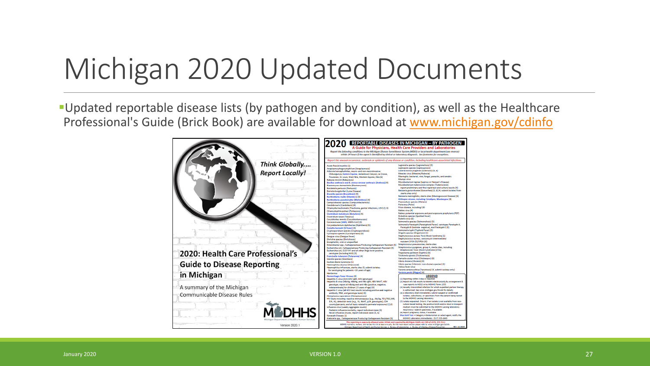# Michigan 2020 Updated Documents

Updated reportable disease lists (by pathogen and by condition), as well as the Healthcare Professional's Guide (Brick Book) are available for download at [www.michigan.gov/cdinfo](http://www.michigan.gov/cdinfo)